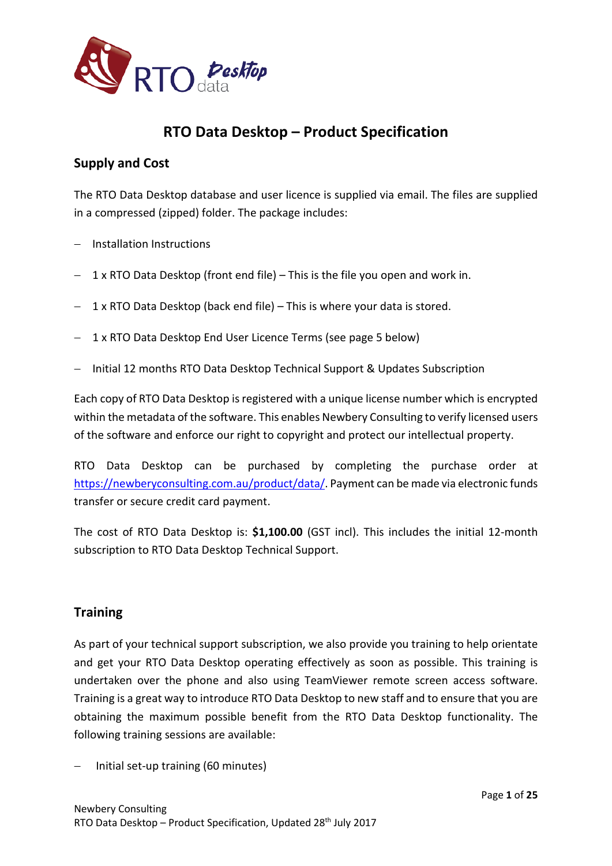

# **RTO Data Desktop – Product Specification**

## **Supply and Cost**

The RTO Data Desktop database and user licence is supplied via email. The files are supplied in a compressed (zipped) folder. The package includes:

- − Installation Instructions
- − 1 x RTO Data Desktop (front end file) This is the file you open and work in.
- − 1 x RTO Data Desktop (back end file) This is where your data is stored.
- − 1 x RTO Data Desktop End User Licence Terms (see page 5 below)
- − Initial 12 months RTO Data Desktop Technical Support & Updates Subscription

Each copy of RTO Data Desktop is registered with a unique license number which is encrypted within the metadata of the software. This enables Newbery Consulting to verify licensed users of the software and enforce our right to copyright and protect our intellectual property.

RTO Data Desktop can be purchased by completing the purchase order at [https://newberyconsulting.com.au/product/data/.](https://newberyconsulting.com.au/product/data/) Payment can be made via electronic funds transfer or secure credit card payment.

The cost of RTO Data Desktop is: **\$1,100.00** (GST incl). This includes the initial 12-month subscription to RTO Data Desktop Technical Support.

## **Training**

As part of your technical support subscription, we also provide you training to help orientate and get your RTO Data Desktop operating effectively as soon as possible. This training is undertaken over the phone and also using TeamViewer remote screen access software. Training is a great way to introduce RTO Data Desktop to new staff and to ensure that you are obtaining the maximum possible benefit from the RTO Data Desktop functionality. The following training sessions are available:

− Initial set-up training (60 minutes)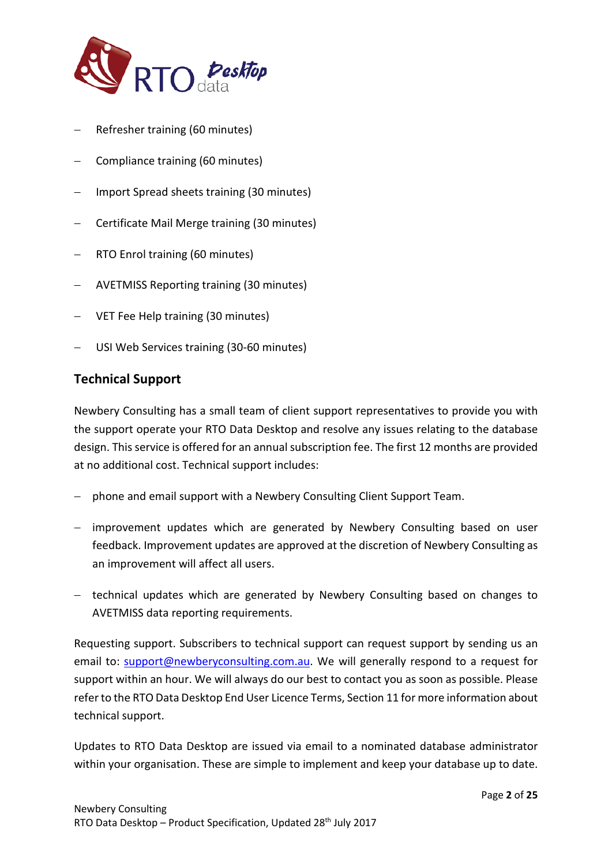

- − Refresher training (60 minutes)
- − Compliance training (60 minutes)
- − Import Spread sheets training (30 minutes)
- − Certificate Mail Merge training (30 minutes)
- − RTO Enrol training (60 minutes)
- − AVETMISS Reporting training (30 minutes)
- − VET Fee Help training (30 minutes)
- − USI Web Services training (30-60 minutes)

## **Technical Support**

Newbery Consulting has a small team of client support representatives to provide you with the support operate your RTO Data Desktop and resolve any issues relating to the database design. This service is offered for an annual subscription fee. The first 12 months are provided at no additional cost. Technical support includes:

- − phone and email support with a Newbery Consulting Client Support Team.
- − improvement updates which are generated by Newbery Consulting based on user feedback. Improvement updates are approved at the discretion of Newbery Consulting as an improvement will affect all users.
- − technical updates which are generated by Newbery Consulting based on changes to AVETMISS data reporting requirements.

Requesting support. Subscribers to technical support can request support by sending us an email to: [support@newberyconsulting.com.au.](mailto:support@newberyconsulting.com.au) We will generally respond to a request for support within an hour. We will always do our best to contact you as soon as possible. Please refer to the RTO Data Desktop End User Licence Terms, Section 11 for more information about technical support.

Updates to RTO Data Desktop are issued via email to a nominated database administrator within your organisation. These are simple to implement and keep your database up to date.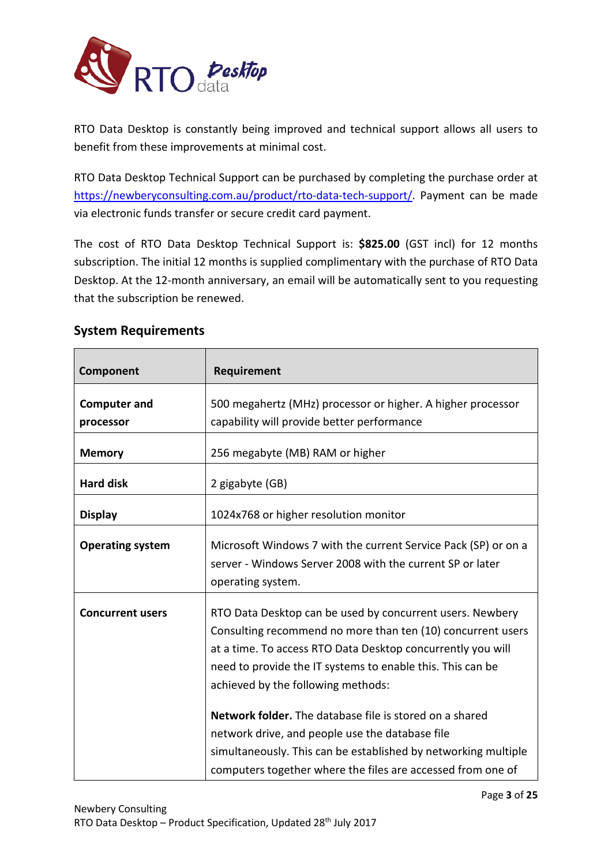

RTO Data Desktop is constantly being improved and technical support allows all users to benefit from these improvements at minimal cost.

RTO Data Desktop Technical Support can be purchased by completing the purchase order at [https://newberyconsulting.com.au/product/rto-data-tech-support/.](https://newberyconsulting.com.au/product/rto-data-tech-support/) Payment can be made via electronic funds transfer or secure credit card payment.

The cost of RTO Data Desktop Technical Support is: **\$825.00** (GST incl) for 12 months subscription. The initial 12 months is supplied complimentary with the purchase of RTO Data Desktop. At the 12-month anniversary, an email will be automatically sent to you requesting that the subscription be renewed.

## **System Requirements**

| Component                        | Requirement                                                                                                                                                                                                                                                                                                                                                                                                                                                                                                                                |
|----------------------------------|--------------------------------------------------------------------------------------------------------------------------------------------------------------------------------------------------------------------------------------------------------------------------------------------------------------------------------------------------------------------------------------------------------------------------------------------------------------------------------------------------------------------------------------------|
| <b>Computer and</b><br>processor | 500 megahertz (MHz) processor or higher. A higher processor<br>capability will provide better performance                                                                                                                                                                                                                                                                                                                                                                                                                                  |
| <b>Memory</b>                    | 256 megabyte (MB) RAM or higher                                                                                                                                                                                                                                                                                                                                                                                                                                                                                                            |
| <b>Hard disk</b>                 | 2 gigabyte (GB)                                                                                                                                                                                                                                                                                                                                                                                                                                                                                                                            |
| <b>Display</b>                   | 1024x768 or higher resolution monitor                                                                                                                                                                                                                                                                                                                                                                                                                                                                                                      |
| <b>Operating system</b>          | Microsoft Windows 7 with the current Service Pack (SP) or on a<br>server - Windows Server 2008 with the current SP or later<br>operating system.                                                                                                                                                                                                                                                                                                                                                                                           |
| <b>Concurrent users</b>          | RTO Data Desktop can be used by concurrent users. Newbery<br>Consulting recommend no more than ten (10) concurrent users<br>at a time. To access RTO Data Desktop concurrently you will<br>need to provide the IT systems to enable this. This can be<br>achieved by the following methods:<br>Network folder. The database file is stored on a shared<br>network drive, and people use the database file<br>simultaneously. This can be established by networking multiple<br>computers together where the files are accessed from one of |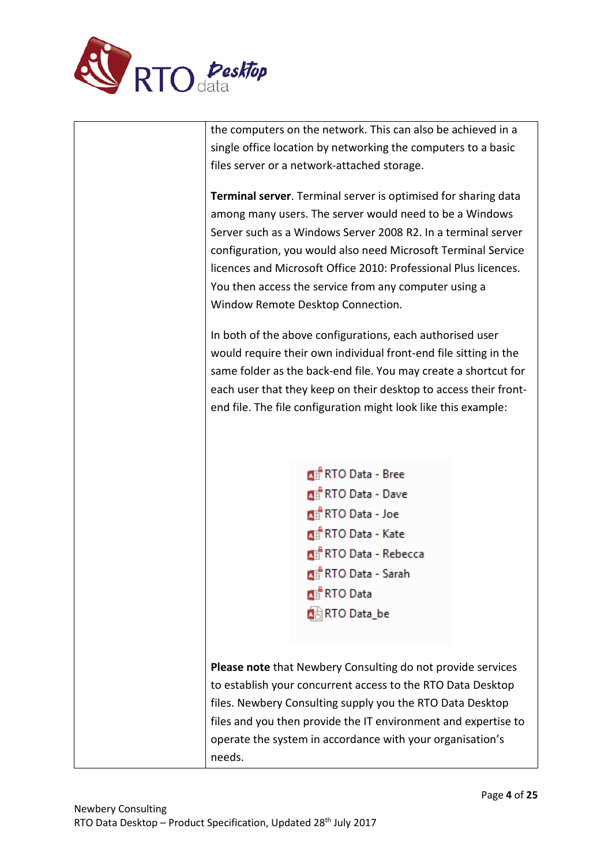

the computers on the network. This can also be achieved in a single office location by networking the computers to a basic files server or a network-attached storage.

**Terminal server**. Terminal server is optimised for sharing data among many users. The server would need to be a Windows Server such as a Windows Server 2008 R2. In a terminal server configuration, you would also need Microsoft Terminal Service licences and Microsoft Office 2010: Professional Plus licences. You then access the service from any computer using a Window Remote Desktop Connection.

In both of the above configurations, each authorised user would require their own individual front-end file sitting in the same folder as the back-end file. You may create a shortcut for each user that they keep on their desktop to access their frontend file. The file configuration might look like this example:

> **Mi RTO Data - Bree** 图 RTO Data - Dave **Mill** RTO Data - Joe **All** RTO Data - Kate **All** RTO Data - Rebecca **All** RTO Data - Sarah **MERTO Data ARTO Data\_be**

**Please note** that Newbery Consulting do not provide services to establish your concurrent access to the RTO Data Desktop files. Newbery Consulting supply you the RTO Data Desktop files and you then provide the IT environment and expertise to operate the system in accordance with your organisation's needs.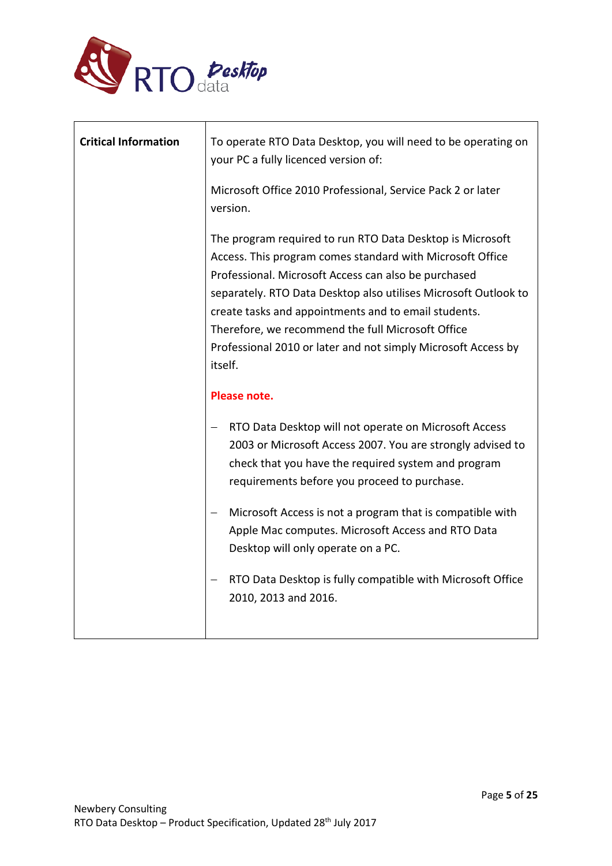

| <b>Critical Information</b> | To operate RTO Data Desktop, you will need to be operating on<br>your PC a fully licenced version of:                                                                                                                                                                                                                                                                                                                                      |
|-----------------------------|--------------------------------------------------------------------------------------------------------------------------------------------------------------------------------------------------------------------------------------------------------------------------------------------------------------------------------------------------------------------------------------------------------------------------------------------|
|                             | Microsoft Office 2010 Professional, Service Pack 2 or later<br>version.                                                                                                                                                                                                                                                                                                                                                                    |
|                             | The program required to run RTO Data Desktop is Microsoft<br>Access. This program comes standard with Microsoft Office<br>Professional. Microsoft Access can also be purchased<br>separately. RTO Data Desktop also utilises Microsoft Outlook to<br>create tasks and appointments and to email students.<br>Therefore, we recommend the full Microsoft Office<br>Professional 2010 or later and not simply Microsoft Access by<br>itself. |
|                             | Please note.                                                                                                                                                                                                                                                                                                                                                                                                                               |
|                             | RTO Data Desktop will not operate on Microsoft Access<br>2003 or Microsoft Access 2007. You are strongly advised to<br>check that you have the required system and program<br>requirements before you proceed to purchase.                                                                                                                                                                                                                 |
|                             | Microsoft Access is not a program that is compatible with<br>Apple Mac computes. Microsoft Access and RTO Data<br>Desktop will only operate on a PC.                                                                                                                                                                                                                                                                                       |
|                             | RTO Data Desktop is fully compatible with Microsoft Office<br>2010, 2013 and 2016.                                                                                                                                                                                                                                                                                                                                                         |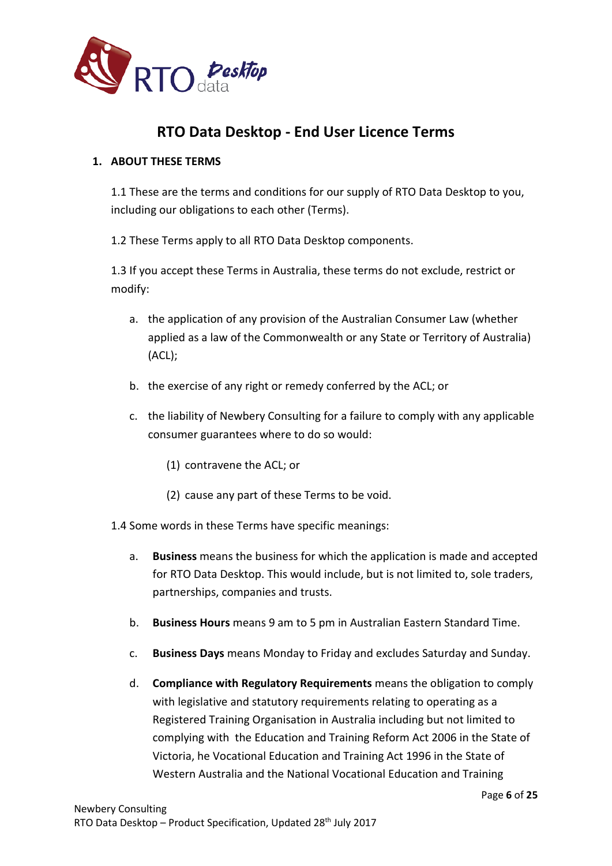

# **RTO Data Desktop - End User Licence Terms**

## **1. ABOUT THESE TERMS**

1.1 These are the terms and conditions for our supply of RTO Data Desktop to you, including our obligations to each other (Terms).

1.2 These Terms apply to all RTO Data Desktop components.

1.3 If you accept these Terms in Australia, these terms do not exclude, restrict or modify:

- a. the application of any provision of the Australian Consumer Law (whether applied as a law of the Commonwealth or any State or Territory of Australia) (ACL);
- b. the exercise of any right or remedy conferred by the ACL; or
- c. the liability of Newbery Consulting for a failure to comply with any applicable consumer guarantees where to do so would:
	- (1) contravene the ACL; or
	- (2) cause any part of these Terms to be void.
- 1.4 Some words in these Terms have specific meanings:
	- a. **Business** means the business for which the application is made and accepted for RTO Data Desktop. This would include, but is not limited to, sole traders, partnerships, companies and trusts.
	- b. **Business Hours** means 9 am to 5 pm in Australian Eastern Standard Time.
	- c. **Business Days** means Monday to Friday and excludes Saturday and Sunday.
	- d. **Compliance with Regulatory Requirements** means the obligation to comply with legislative and statutory requirements relating to operating as a Registered Training Organisation in Australia including but not limited to complying with the Education and Training Reform Act 2006 in the State of Victoria, he Vocational Education and Training Act 1996 in the State of Western Australia and the National Vocational Education and Training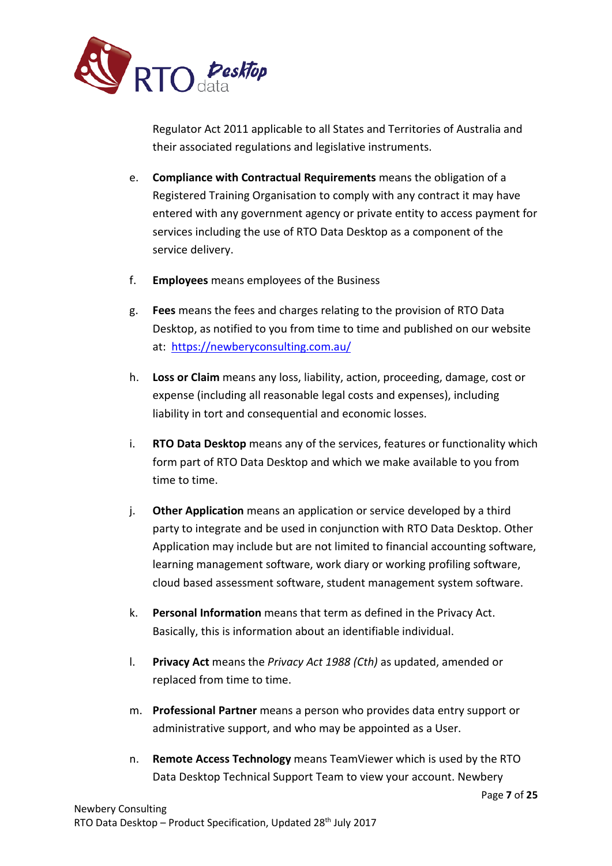

Regulator Act 2011 applicable to all States and Territories of Australia and their associated regulations and legislative instruments.

- e. **Compliance with Contractual Requirements** means the obligation of a Registered Training Organisation to comply with any contract it may have entered with any government agency or private entity to access payment for services including the use of RTO Data Desktop as a component of the service delivery.
- f. **Employees** means employees of the Business
- g. **Fees** means the fees and charges relating to the provision of RTO Data Desktop, as notified to you from time to time and published on our website at: <https://newberyconsulting.com.au/>
- h. **Loss or Claim** means any loss, liability, action, proceeding, damage, cost or expense (including all reasonable legal costs and expenses), including liability in tort and consequential and economic losses.
- i. **RTO Data Desktop** means any of the services, features or functionality which form part of RTO Data Desktop and which we make available to you from time to time.
- j. **Other Application** means an application or service developed by a third party to integrate and be used in conjunction with RTO Data Desktop. Other Application may include but are not limited to financial accounting software, learning management software, work diary or working profiling software, cloud based assessment software, student management system software.
- k. **Personal Information** means that term as defined in the Privacy Act. Basically, this is information about an identifiable individual.
- l. **Privacy Act** means the *Privacy Act 1988 (Cth)* as updated, amended or replaced from time to time.
- m. **Professional Partner** means a person who provides data entry support or administrative support, and who may be appointed as a User.
- n. **Remote Access Technology** means TeamViewer which is used by the RTO Data Desktop Technical Support Team to view your account. Newbery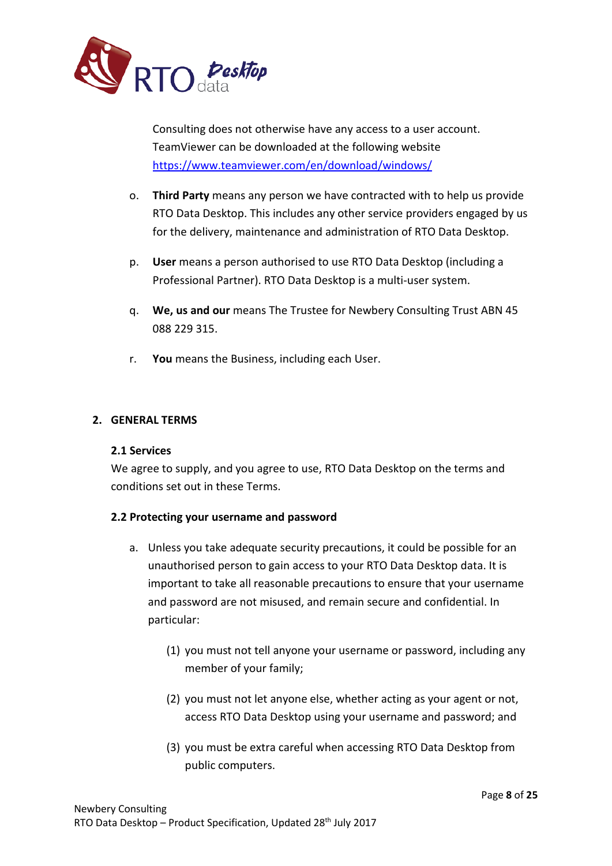

Consulting does not otherwise have any access to a user account. TeamViewer can be downloaded at the following website <https://www.teamviewer.com/en/download/windows/>

- o. **Third Party** means any person we have contracted with to help us provide RTO Data Desktop. This includes any other service providers engaged by us for the delivery, maintenance and administration of RTO Data Desktop.
- p. **User** means a person authorised to use RTO Data Desktop (including a Professional Partner). RTO Data Desktop is a multi-user system.
- q. **We, us and our** means The Trustee for Newbery Consulting Trust ABN 45 088 229 315.
- r. **You** means the Business, including each User.

## **2. GENERAL TERMS**

## **2.1 Services**

We agree to supply, and you agree to use, RTO Data Desktop on the terms and conditions set out in these Terms.

## **2.2 Protecting your username and password**

- a. Unless you take adequate security precautions, it could be possible for an unauthorised person to gain access to your RTO Data Desktop data. It is important to take all reasonable precautions to ensure that your username and password are not misused, and remain secure and confidential. In particular:
	- (1) you must not tell anyone your username or password, including any member of your family;
	- (2) you must not let anyone else, whether acting as your agent or not, access RTO Data Desktop using your username and password; and
	- (3) you must be extra careful when accessing RTO Data Desktop from public computers.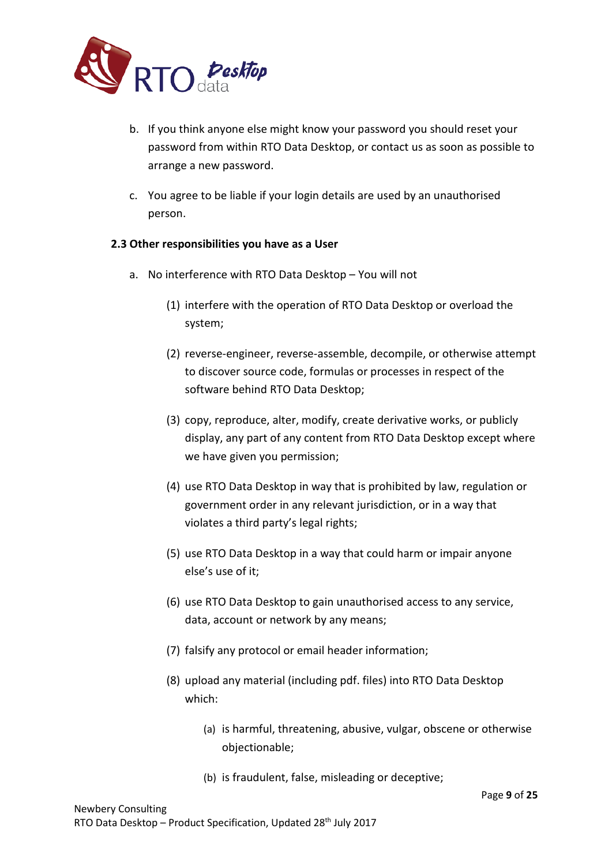

- b. If you think anyone else might know your password you should reset your password from within RTO Data Desktop, or contact us as soon as possible to arrange a new password.
- c. You agree to be liable if your login details are used by an unauthorised person.

## **2.3 Other responsibilities you have as a User**

- a. No interference with RTO Data Desktop You will not
	- (1) interfere with the operation of RTO Data Desktop or overload the system;
	- (2) reverse-engineer, reverse-assemble, decompile, or otherwise attempt to discover source code, formulas or processes in respect of the software behind RTO Data Desktop;
	- (3) copy, reproduce, alter, modify, create derivative works, or publicly display, any part of any content from RTO Data Desktop except where we have given you permission;
	- (4) use RTO Data Desktop in way that is prohibited by law, regulation or government order in any relevant jurisdiction, or in a way that violates a third party's legal rights;
	- (5) use RTO Data Desktop in a way that could harm or impair anyone else's use of it;
	- (6) use RTO Data Desktop to gain unauthorised access to any service, data, account or network by any means;
	- (7) falsify any protocol or email header information;
	- (8) upload any material (including pdf. files) into RTO Data Desktop which:
		- (a) is harmful, threatening, abusive, vulgar, obscene or otherwise objectionable;
		- (b) is fraudulent, false, misleading or deceptive;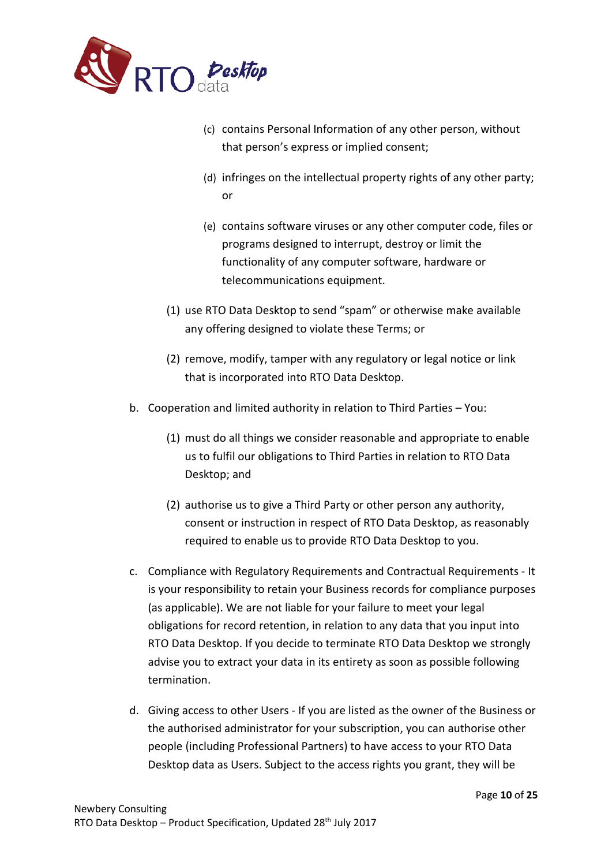

- (c) contains Personal Information of any other person, without that person's express or implied consent;
- (d) infringes on the intellectual property rights of any other party; or
- (e) contains software viruses or any other computer code, files or programs designed to interrupt, destroy or limit the functionality of any computer software, hardware or telecommunications equipment.
- (1) use RTO Data Desktop to send "spam" or otherwise make available any offering designed to violate these Terms; or
- (2) remove, modify, tamper with any regulatory or legal notice or link that is incorporated into RTO Data Desktop.
- b. Cooperation and limited authority in relation to Third Parties You:
	- (1) must do all things we consider reasonable and appropriate to enable us to fulfil our obligations to Third Parties in relation to RTO Data Desktop; and
	- (2) authorise us to give a Third Party or other person any authority, consent or instruction in respect of RTO Data Desktop, as reasonably required to enable us to provide RTO Data Desktop to you.
- c. Compliance with Regulatory Requirements and Contractual Requirements It is your responsibility to retain your Business records for compliance purposes (as applicable). We are not liable for your failure to meet your legal obligations for record retention, in relation to any data that you input into RTO Data Desktop. If you decide to terminate RTO Data Desktop we strongly advise you to extract your data in its entirety as soon as possible following termination.
- d. Giving access to other Users If you are listed as the owner of the Business or the authorised administrator for your subscription, you can authorise other people (including Professional Partners) to have access to your RTO Data Desktop data as Users. Subject to the access rights you grant, they will be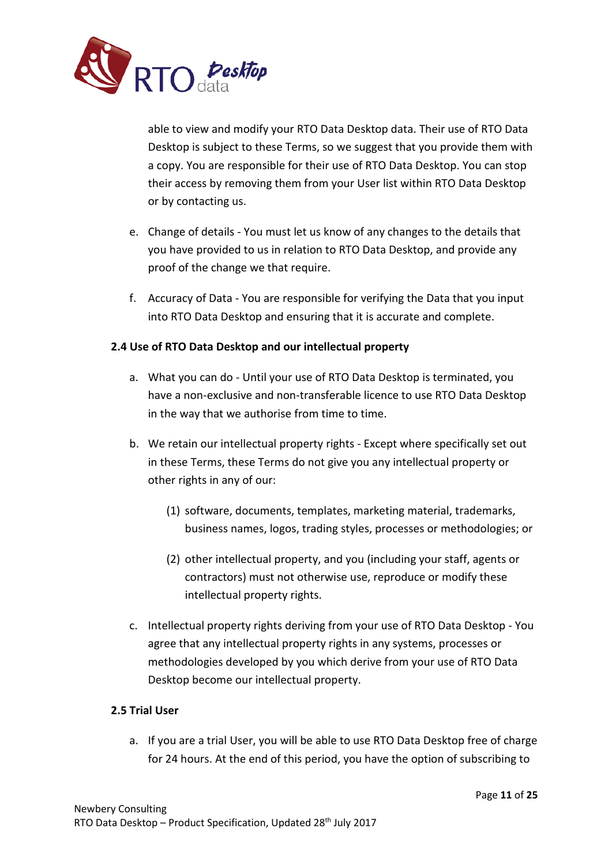

able to view and modify your RTO Data Desktop data. Their use of RTO Data Desktop is subject to these Terms, so we suggest that you provide them with a copy. You are responsible for their use of RTO Data Desktop. You can stop their access by removing them from your User list within RTO Data Desktop or by contacting us.

- e. Change of details You must let us know of any changes to the details that you have provided to us in relation to RTO Data Desktop, and provide any proof of the change we that require.
- f. Accuracy of Data You are responsible for verifying the Data that you input into RTO Data Desktop and ensuring that it is accurate and complete.

## **2.4 Use of RTO Data Desktop and our intellectual property**

- a. What you can do Until your use of RTO Data Desktop is terminated, you have a non-exclusive and non-transferable licence to use RTO Data Desktop in the way that we authorise from time to time.
- b. We retain our intellectual property rights Except where specifically set out in these Terms, these Terms do not give you any intellectual property or other rights in any of our:
	- (1) software, documents, templates, marketing material, trademarks, business names, logos, trading styles, processes or methodologies; or
	- (2) other intellectual property, and you (including your staff, agents or contractors) must not otherwise use, reproduce or modify these intellectual property rights.
- c. Intellectual property rights deriving from your use of RTO Data Desktop You agree that any intellectual property rights in any systems, processes or methodologies developed by you which derive from your use of RTO Data Desktop become our intellectual property.

## **2.5 Trial User**

a. If you are a trial User, you will be able to use RTO Data Desktop free of charge for 24 hours. At the end of this period, you have the option of subscribing to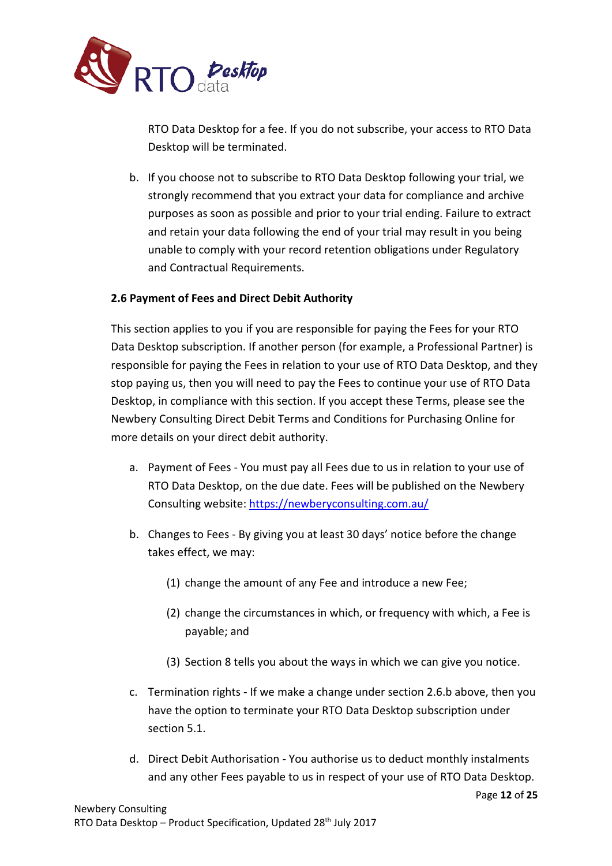

RTO Data Desktop for a fee. If you do not subscribe, your access to RTO Data Desktop will be terminated.

b. If you choose not to subscribe to RTO Data Desktop following your trial, we strongly recommend that you extract your data for compliance and archive purposes as soon as possible and prior to your trial ending. Failure to extract and retain your data following the end of your trial may result in you being unable to comply with your record retention obligations under Regulatory and Contractual Requirements.

## **2.6 Payment of Fees and Direct Debit Authority**

This section applies to you if you are responsible for paying the Fees for your RTO Data Desktop subscription. If another person (for example, a Professional Partner) is responsible for paying the Fees in relation to your use of RTO Data Desktop, and they stop paying us, then you will need to pay the Fees to continue your use of RTO Data Desktop, in compliance with this section. If you accept these Terms, please see the Newbery Consulting Direct Debit Terms and Conditions for Purchasing Online for more details on your direct debit authority.

- a. Payment of Fees You must pay all Fees due to us in relation to your use of RTO Data Desktop, on the due date. Fees will be published on the Newbery Consulting website:<https://newberyconsulting.com.au/>
- b. Changes to Fees By giving you at least 30 days' notice before the change takes effect, we may:
	- (1) change the amount of any Fee and introduce a new Fee;
	- (2) change the circumstances in which, or frequency with which, a Fee is payable; and
	- (3) Section 8 tells you about the ways in which we can give you notice.
- c. Termination rights If we make a change under section 2.6.b above, then you have the option to terminate your RTO Data Desktop subscription under section 5.1.
- d. Direct Debit Authorisation You authorise us to deduct monthly instalments and any other Fees payable to us in respect of your use of RTO Data Desktop.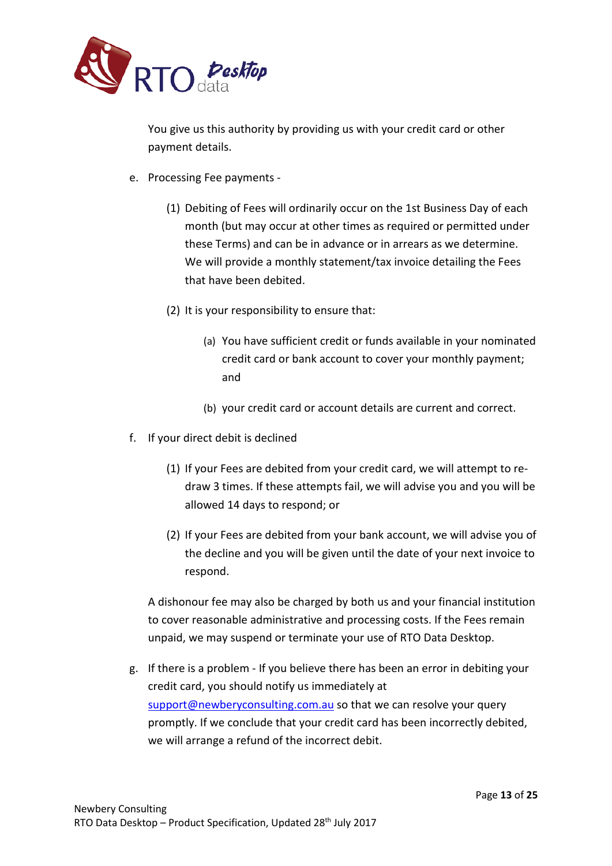

You give us this authority by providing us with your credit card or other payment details.

- e. Processing Fee payments
	- (1) Debiting of Fees will ordinarily occur on the 1st Business Day of each month (but may occur at other times as required or permitted under these Terms) and can be in advance or in arrears as we determine. We will provide a monthly statement/tax invoice detailing the Fees that have been debited.
	- (2) It is your responsibility to ensure that:
		- (a) You have sufficient credit or funds available in your nominated credit card or bank account to cover your monthly payment; and
		- (b) your credit card or account details are current and correct.
- f. If your direct debit is declined
	- (1) If your Fees are debited from your credit card, we will attempt to redraw 3 times. If these attempts fail, we will advise you and you will be allowed 14 days to respond; or
	- (2) If your Fees are debited from your bank account, we will advise you of the decline and you will be given until the date of your next invoice to respond.

A dishonour fee may also be charged by both us and your financial institution to cover reasonable administrative and processing costs. If the Fees remain unpaid, we may suspend or terminate your use of RTO Data Desktop.

g. If there is a problem - If you believe there has been an error in debiting your credit card, you should notify us immediately at [support@newberyconsulting.com.au](mailto:support@newberyconsulting.com.au) so that we can resolve your query promptly. If we conclude that your credit card has been incorrectly debited, we will arrange a refund of the incorrect debit.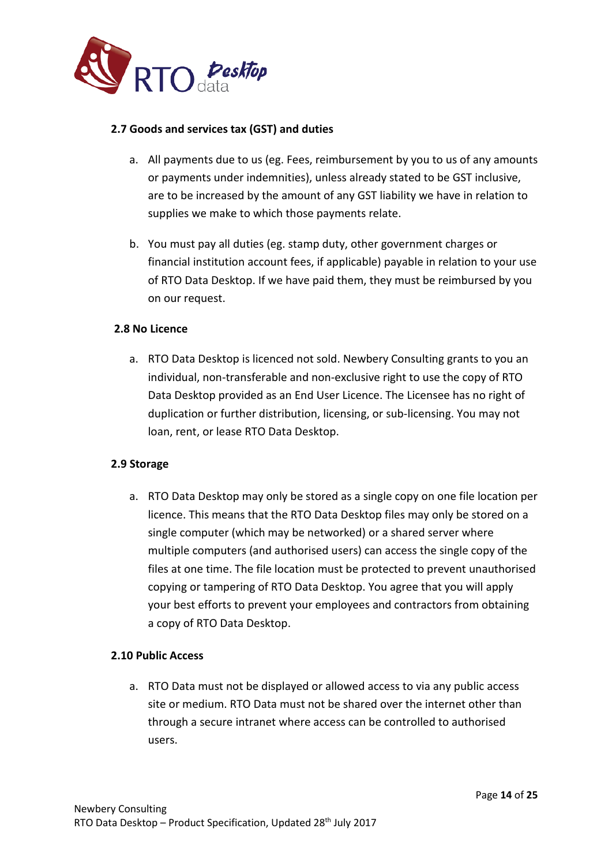

## **2.7 Goods and services tax (GST) and duties**

- a. All payments due to us (eg. Fees, reimbursement by you to us of any amounts or payments under indemnities), unless already stated to be GST inclusive, are to be increased by the amount of any GST liability we have in relation to supplies we make to which those payments relate.
- b. You must pay all duties (eg. stamp duty, other government charges or financial institution account fees, if applicable) payable in relation to your use of RTO Data Desktop. If we have paid them, they must be reimbursed by you on our request.

## **2.8 No Licence**

a. RTO Data Desktop is licenced not sold. Newbery Consulting grants to you an individual, non-transferable and non-exclusive right to use the copy of RTO Data Desktop provided as an End User Licence. The Licensee has no right of duplication or further distribution, licensing, or sub-licensing. You may not loan, rent, or lease RTO Data Desktop.

## **2.9 Storage**

a. RTO Data Desktop may only be stored as a single copy on one file location per licence. This means that the RTO Data Desktop files may only be stored on a single computer (which may be networked) or a shared server where multiple computers (and authorised users) can access the single copy of the files at one time. The file location must be protected to prevent unauthorised copying or tampering of RTO Data Desktop. You agree that you will apply your best efforts to prevent your employees and contractors from obtaining a copy of RTO Data Desktop.

## **2.10 Public Access**

a. RTO Data must not be displayed or allowed access to via any public access site or medium. RTO Data must not be shared over the internet other than through a secure intranet where access can be controlled to authorised users.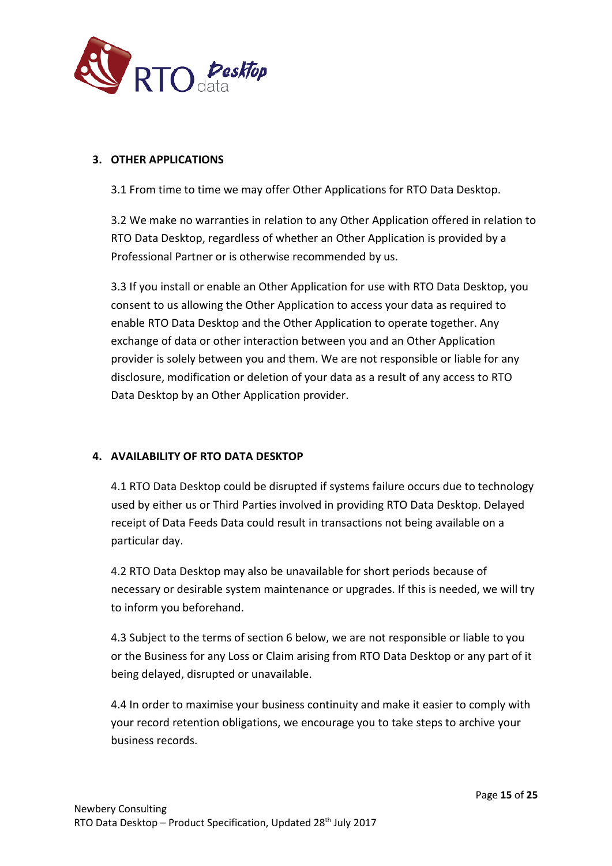

## **3. OTHER APPLICATIONS**

3.1 From time to time we may offer Other Applications for RTO Data Desktop.

3.2 We make no warranties in relation to any Other Application offered in relation to RTO Data Desktop, regardless of whether an Other Application is provided by a Professional Partner or is otherwise recommended by us.

3.3 If you install or enable an Other Application for use with RTO Data Desktop, you consent to us allowing the Other Application to access your data as required to enable RTO Data Desktop and the Other Application to operate together. Any exchange of data or other interaction between you and an Other Application provider is solely between you and them. We are not responsible or liable for any disclosure, modification or deletion of your data as a result of any access to RTO Data Desktop by an Other Application provider.

## **4. AVAILABILITY OF RTO DATA DESKTOP**

4.1 RTO Data Desktop could be disrupted if systems failure occurs due to technology used by either us or Third Parties involved in providing RTO Data Desktop. Delayed receipt of Data Feeds Data could result in transactions not being available on a particular day.

4.2 RTO Data Desktop may also be unavailable for short periods because of necessary or desirable system maintenance or upgrades. If this is needed, we will try to inform you beforehand.

4.3 Subject to the terms of section 6 below, we are not responsible or liable to you or the Business for any Loss or Claim arising from RTO Data Desktop or any part of it being delayed, disrupted or unavailable.

4.4 In order to maximise your business continuity and make it easier to comply with your record retention obligations, we encourage you to take steps to archive your business records.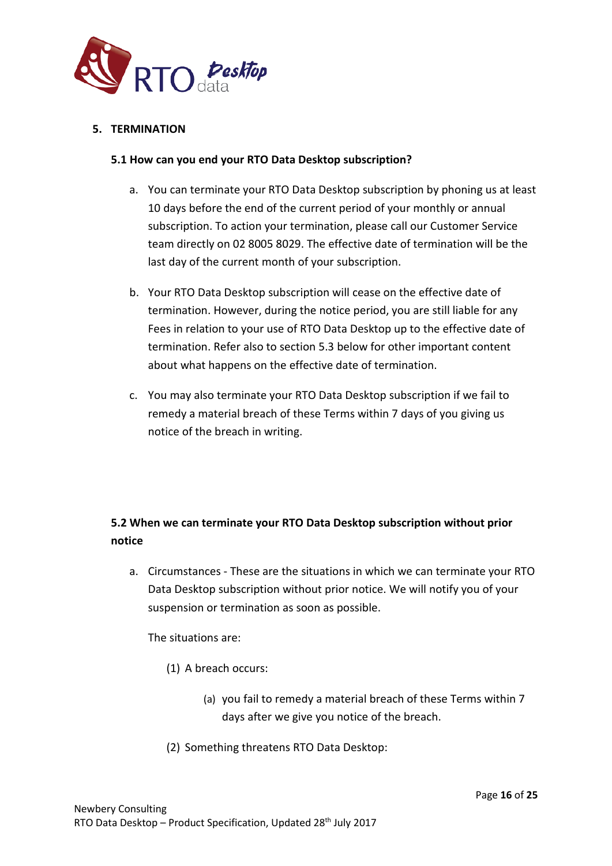

## **5. TERMINATION**

## **5.1 How can you end your RTO Data Desktop subscription?**

- a. You can terminate your RTO Data Desktop subscription by phoning us at least 10 days before the end of the current period of your monthly or annual subscription. To action your termination, please call our Customer Service team directly on 02 8005 8029. The effective date of termination will be the last day of the current month of your subscription.
- b. Your RTO Data Desktop subscription will cease on the effective date of termination. However, during the notice period, you are still liable for any Fees in relation to your use of RTO Data Desktop up to the effective date of termination. Refer also to section 5.3 below for other important content about what happens on the effective date of termination.
- c. You may also terminate your RTO Data Desktop subscription if we fail to remedy a material breach of these Terms within 7 days of you giving us notice of the breach in writing.

## **5.2 When we can terminate your RTO Data Desktop subscription without prior notice**

a. Circumstances - These are the situations in which we can terminate your RTO Data Desktop subscription without prior notice. We will notify you of your suspension or termination as soon as possible.

The situations are:

- (1) A breach occurs:
	- (a) you fail to remedy a material breach of these Terms within 7 days after we give you notice of the breach.
- (2) Something threatens RTO Data Desktop: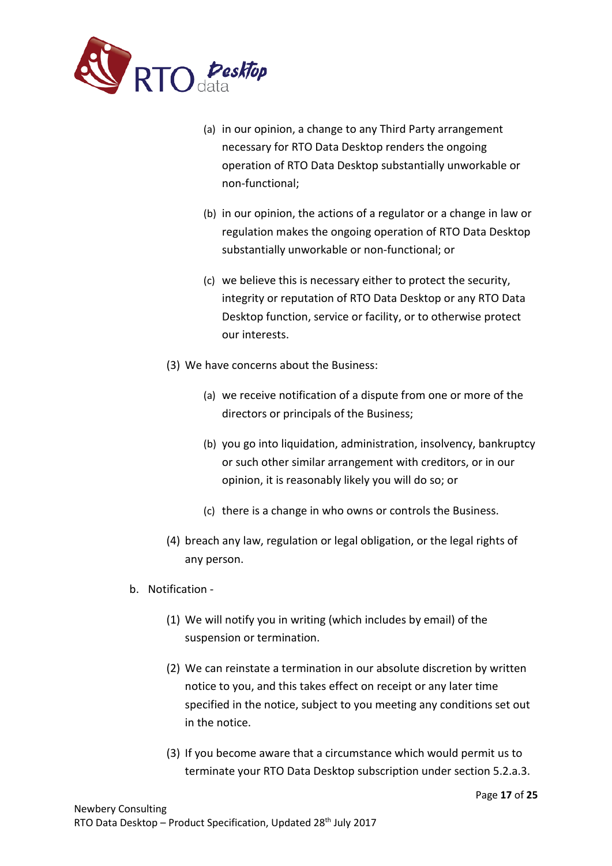

- (a) in our opinion, a change to any Third Party arrangement necessary for RTO Data Desktop renders the ongoing operation of RTO Data Desktop substantially unworkable or non-functional;
- (b) in our opinion, the actions of a regulator or a change in law or regulation makes the ongoing operation of RTO Data Desktop substantially unworkable or non-functional; or
- (c) we believe this is necessary either to protect the security, integrity or reputation of RTO Data Desktop or any RTO Data Desktop function, service or facility, or to otherwise protect our interests.
- (3) We have concerns about the Business:
	- (a) we receive notification of a dispute from one or more of the directors or principals of the Business;
	- (b) you go into liquidation, administration, insolvency, bankruptcy or such other similar arrangement with creditors, or in our opinion, it is reasonably likely you will do so; or
	- (c) there is a change in who owns or controls the Business.
- (4) breach any law, regulation or legal obligation, or the legal rights of any person.
- b. Notification
	- (1) We will notify you in writing (which includes by email) of the suspension or termination.
	- (2) We can reinstate a termination in our absolute discretion by written notice to you, and this takes effect on receipt or any later time specified in the notice, subject to you meeting any conditions set out in the notice.
	- (3) If you become aware that a circumstance which would permit us to terminate your RTO Data Desktop subscription under section 5.2.a.3.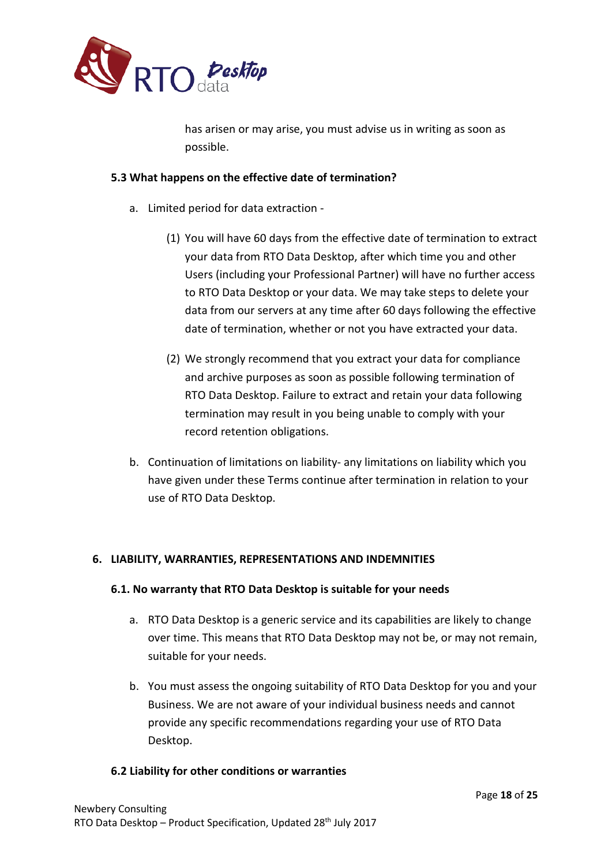

has arisen or may arise, you must advise us in writing as soon as possible.

## **5.3 What happens on the effective date of termination?**

- a. Limited period for data extraction
	- (1) You will have 60 days from the effective date of termination to extract your data from RTO Data Desktop, after which time you and other Users (including your Professional Partner) will have no further access to RTO Data Desktop or your data. We may take steps to delete your data from our servers at any time after 60 days following the effective date of termination, whether or not you have extracted your data.
	- (2) We strongly recommend that you extract your data for compliance and archive purposes as soon as possible following termination of RTO Data Desktop. Failure to extract and retain your data following termination may result in you being unable to comply with your record retention obligations.
- b. Continuation of limitations on liability- any limitations on liability which you have given under these Terms continue after termination in relation to your use of RTO Data Desktop.

## **6. LIABILITY, WARRANTIES, REPRESENTATIONS AND INDEMNITIES**

## **6.1. No warranty that RTO Data Desktop is suitable for your needs**

- a. RTO Data Desktop is a generic service and its capabilities are likely to change over time. This means that RTO Data Desktop may not be, or may not remain, suitable for your needs.
- b. You must assess the ongoing suitability of RTO Data Desktop for you and your Business. We are not aware of your individual business needs and cannot provide any specific recommendations regarding your use of RTO Data Desktop.

## **6.2 Liability for other conditions or warranties**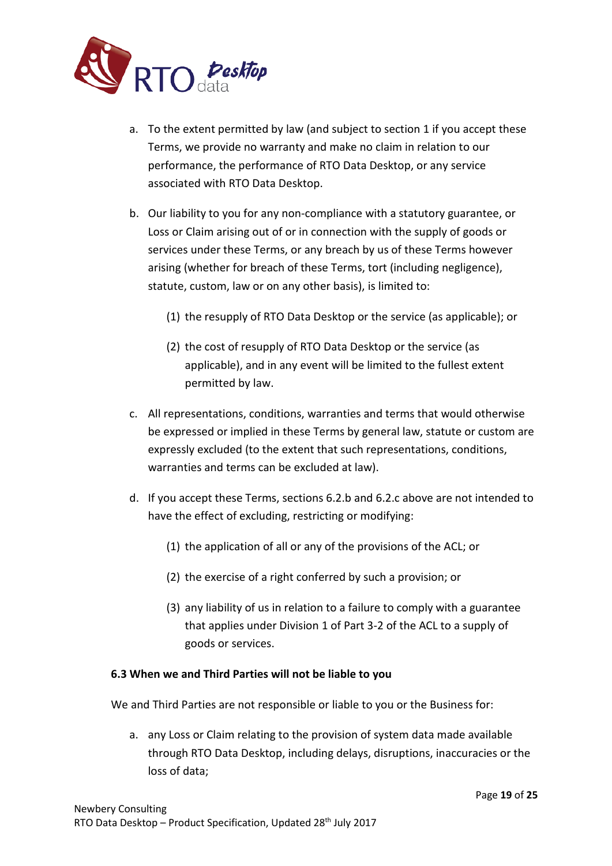

- a. To the extent permitted by law (and subject to section 1 if you accept these Terms, we provide no warranty and make no claim in relation to our performance, the performance of RTO Data Desktop, or any service associated with RTO Data Desktop.
- b. Our liability to you for any non-compliance with a statutory guarantee, or Loss or Claim arising out of or in connection with the supply of goods or services under these Terms, or any breach by us of these Terms however arising (whether for breach of these Terms, tort (including negligence), statute, custom, law or on any other basis), is limited to:
	- (1) the resupply of RTO Data Desktop or the service (as applicable); or
	- (2) the cost of resupply of RTO Data Desktop or the service (as applicable), and in any event will be limited to the fullest extent permitted by law.
- c. All representations, conditions, warranties and terms that would otherwise be expressed or implied in these Terms by general law, statute or custom are expressly excluded (to the extent that such representations, conditions, warranties and terms can be excluded at law).
- d. If you accept these Terms, sections 6.2.b and 6.2.c above are not intended to have the effect of excluding, restricting or modifying:
	- (1) the application of all or any of the provisions of the ACL; or
	- (2) the exercise of a right conferred by such a provision; or
	- (3) any liability of us in relation to a failure to comply with a guarantee that applies under Division 1 of Part 3-2 of the ACL to a supply of goods or services.

## **6.3 When we and Third Parties will not be liable to you**

We and Third Parties are not responsible or liable to you or the Business for:

a. any Loss or Claim relating to the provision of system data made available through RTO Data Desktop, including delays, disruptions, inaccuracies or the loss of data;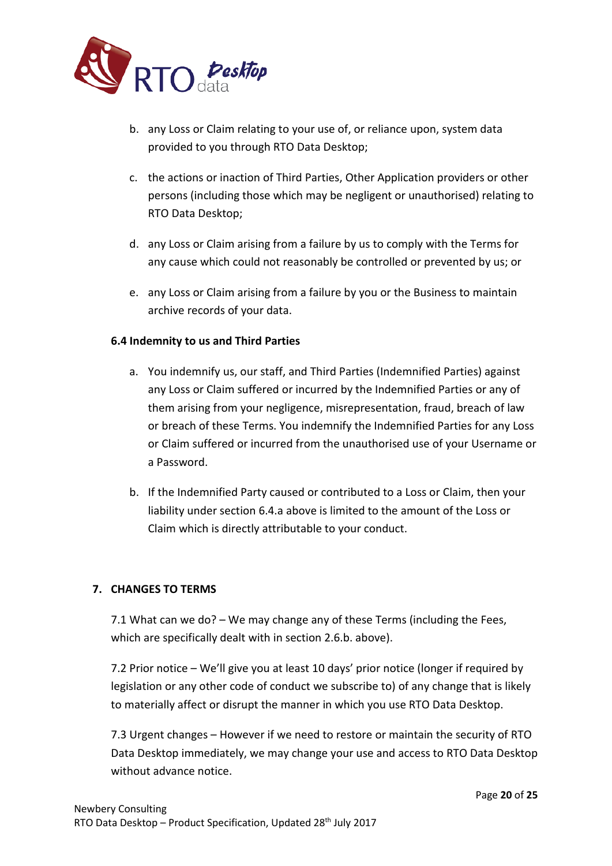

- b. any Loss or Claim relating to your use of, or reliance upon, system data provided to you through RTO Data Desktop;
- c. the actions or inaction of Third Parties, Other Application providers or other persons (including those which may be negligent or unauthorised) relating to RTO Data Desktop;
- d. any Loss or Claim arising from a failure by us to comply with the Terms for any cause which could not reasonably be controlled or prevented by us; or
- e. any Loss or Claim arising from a failure by you or the Business to maintain archive records of your data.

## **6.4 Indemnity to us and Third Parties**

- a. You indemnify us, our staff, and Third Parties (Indemnified Parties) against any Loss or Claim suffered or incurred by the Indemnified Parties or any of them arising from your negligence, misrepresentation, fraud, breach of law or breach of these Terms. You indemnify the Indemnified Parties for any Loss or Claim suffered or incurred from the unauthorised use of your Username or a Password.
- b. If the Indemnified Party caused or contributed to a Loss or Claim, then your liability under section 6.4.a above is limited to the amount of the Loss or Claim which is directly attributable to your conduct.

## **7. CHANGES TO TERMS**

7.1 What can we do? – We may change any of these Terms (including the Fees, which are specifically dealt with in section 2.6.b. above).

7.2 Prior notice – We'll give you at least 10 days' prior notice (longer if required by legislation or any other code of conduct we subscribe to) of any change that is likely to materially affect or disrupt the manner in which you use RTO Data Desktop.

7.3 Urgent changes – However if we need to restore or maintain the security of RTO Data Desktop immediately, we may change your use and access to RTO Data Desktop without advance notice.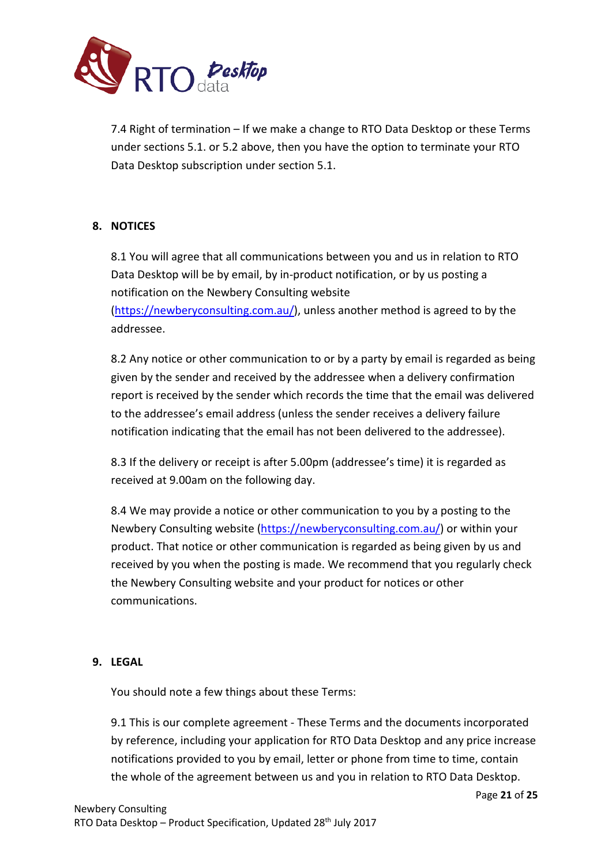

7.4 Right of termination – If we make a change to RTO Data Desktop or these Terms under sections 5.1. or 5.2 above, then you have the option to terminate your RTO Data Desktop subscription under section 5.1.

## **8. NOTICES**

8.1 You will agree that all communications between you and us in relation to RTO Data Desktop will be by email, by in-product notification, or by us posting a notification on the Newbery Consulting website [\(https://newberyconsulting.com.au/\)](https://newberyconsulting.com.au/), unless another method is agreed to by the addressee.

8.2 Any notice or other communication to or by a party by email is regarded as being given by the sender and received by the addressee when a delivery confirmation report is received by the sender which records the time that the email was delivered to the addressee's email address (unless the sender receives a delivery failure notification indicating that the email has not been delivered to the addressee).

8.3 If the delivery or receipt is after 5.00pm (addressee's time) it is regarded as received at 9.00am on the following day.

8.4 We may provide a notice or other communication to you by a posting to the Newbery Consulting website [\(https://newberyconsulting.com.au/\)](https://newberyconsulting.com.au/) or within your product. That notice or other communication is regarded as being given by us and received by you when the posting is made. We recommend that you regularly check the Newbery Consulting website and your product for notices or other communications.

## **9. LEGAL**

You should note a few things about these Terms:

9.1 This is our complete agreement - These Terms and the documents incorporated by reference, including your application for RTO Data Desktop and any price increase notifications provided to you by email, letter or phone from time to time, contain the whole of the agreement between us and you in relation to RTO Data Desktop.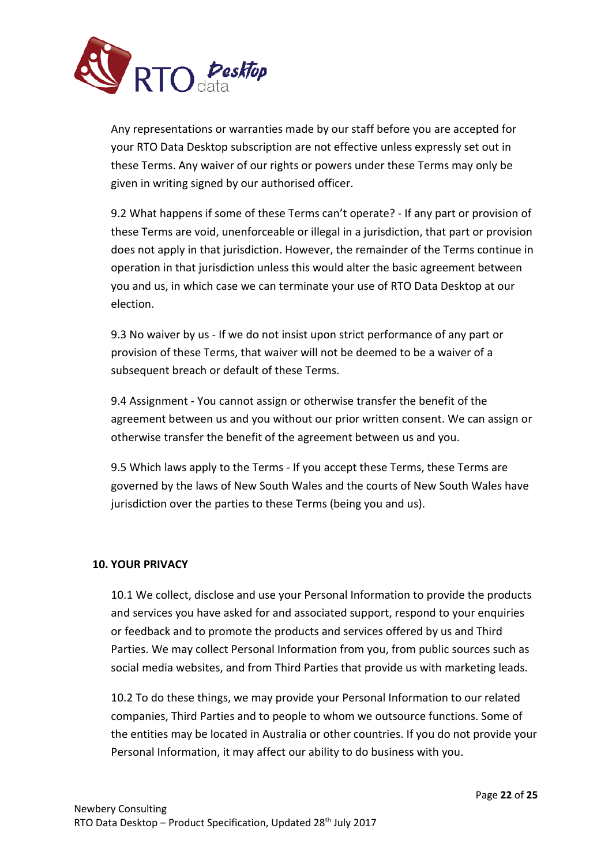

Any representations or warranties made by our staff before you are accepted for your RTO Data Desktop subscription are not effective unless expressly set out in these Terms. Any waiver of our rights or powers under these Terms may only be given in writing signed by our authorised officer.

9.2 What happens if some of these Terms can't operate? - If any part or provision of these Terms are void, unenforceable or illegal in a jurisdiction, that part or provision does not apply in that jurisdiction. However, the remainder of the Terms continue in operation in that jurisdiction unless this would alter the basic agreement between you and us, in which case we can terminate your use of RTO Data Desktop at our election.

9.3 No waiver by us - If we do not insist upon strict performance of any part or provision of these Terms, that waiver will not be deemed to be a waiver of a subsequent breach or default of these Terms.

9.4 Assignment - You cannot assign or otherwise transfer the benefit of the agreement between us and you without our prior written consent. We can assign or otherwise transfer the benefit of the agreement between us and you.

9.5 Which laws apply to the Terms - If you accept these Terms, these Terms are governed by the laws of New South Wales and the courts of New South Wales have jurisdiction over the parties to these Terms (being you and us).

## **10. YOUR PRIVACY**

10.1 We collect, disclose and use your Personal Information to provide the products and services you have asked for and associated support, respond to your enquiries or feedback and to promote the products and services offered by us and Third Parties. We may collect Personal Information from you, from public sources such as social media websites, and from Third Parties that provide us with marketing leads.

10.2 To do these things, we may provide your Personal Information to our related companies, Third Parties and to people to whom we outsource functions. Some of the entities may be located in Australia or other countries. If you do not provide your Personal Information, it may affect our ability to do business with you.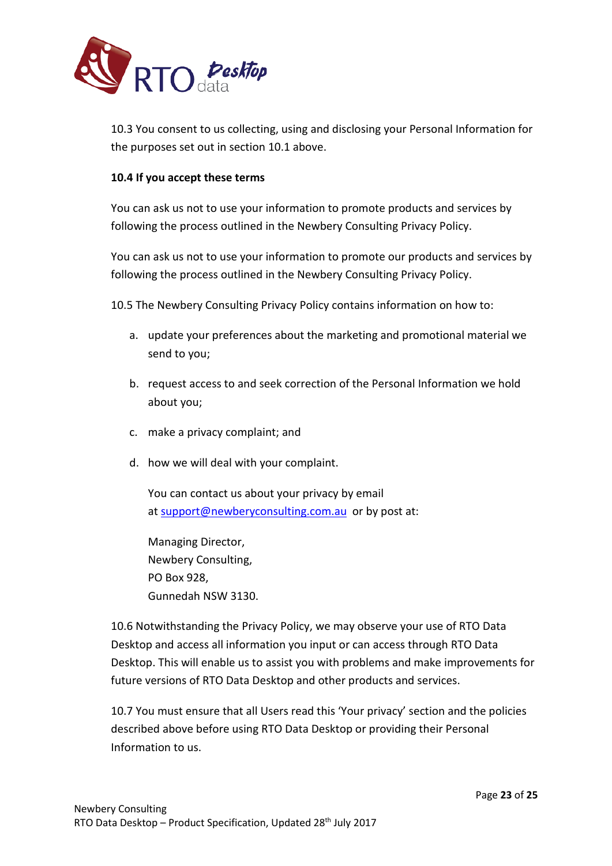

10.3 You consent to us collecting, using and disclosing your Personal Information for the purposes set out in section 10.1 above.

## **10.4 If you accept these terms**

You can ask us not to use your information to promote products and services by following the process outlined in the Newbery Consulting Privacy Policy.

You can ask us not to use your information to promote our products and services by following the process outlined in the Newbery Consulting Privacy Policy.

10.5 The Newbery Consulting Privacy Policy contains information on how to:

- a. update your preferences about the marketing and promotional material we send to you;
- b. request access to and seek correction of the Personal Information we hold about you;
- c. make a privacy complaint; and
- d. how we will deal with your complaint.

You can contact us about your privacy by email at [support@newberyconsulting.com.au](mailto:support@newberyconsulting.com.au) or by post at:

Managing Director, Newbery Consulting, PO Box 928, Gunnedah NSW 3130.

10.6 Notwithstanding the Privacy Policy, we may observe your use of RTO Data Desktop and access all information you input or can access through RTO Data Desktop. This will enable us to assist you with problems and make improvements for future versions of RTO Data Desktop and other products and services.

10.7 You must ensure that all Users read this 'Your privacy' section and the policies described above before using RTO Data Desktop or providing their Personal Information to us.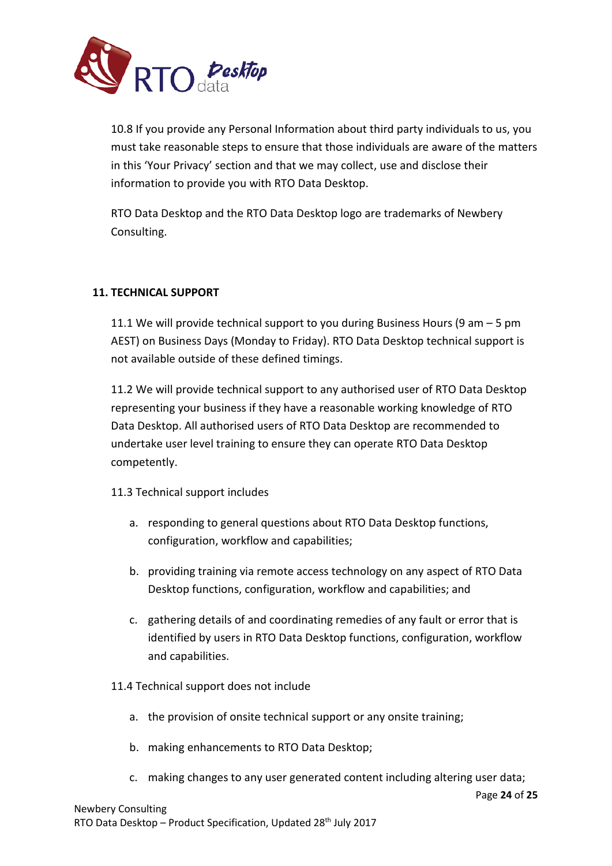

10.8 If you provide any Personal Information about third party individuals to us, you must take reasonable steps to ensure that those individuals are aware of the matters in this 'Your Privacy' section and that we may collect, use and disclose their information to provide you with RTO Data Desktop.

RTO Data Desktop and the RTO Data Desktop logo are trademarks of Newbery Consulting.

## **11. TECHNICAL SUPPORT**

11.1 We will provide technical support to you during Business Hours (9 am – 5 pm AEST) on Business Days (Monday to Friday). RTO Data Desktop technical support is not available outside of these defined timings.

11.2 We will provide technical support to any authorised user of RTO Data Desktop representing your business if they have a reasonable working knowledge of RTO Data Desktop. All authorised users of RTO Data Desktop are recommended to undertake user level training to ensure they can operate RTO Data Desktop competently.

## 11.3 Technical support includes

- a. responding to general questions about RTO Data Desktop functions, configuration, workflow and capabilities;
- b. providing training via remote access technology on any aspect of RTO Data Desktop functions, configuration, workflow and capabilities; and
- c. gathering details of and coordinating remedies of any fault or error that is identified by users in RTO Data Desktop functions, configuration, workflow and capabilities.
- 11.4 Technical support does not include
	- a. the provision of onsite technical support or any onsite training;
	- b. making enhancements to RTO Data Desktop;
	- c. making changes to any user generated content including altering user data;

Page **24** of **25**